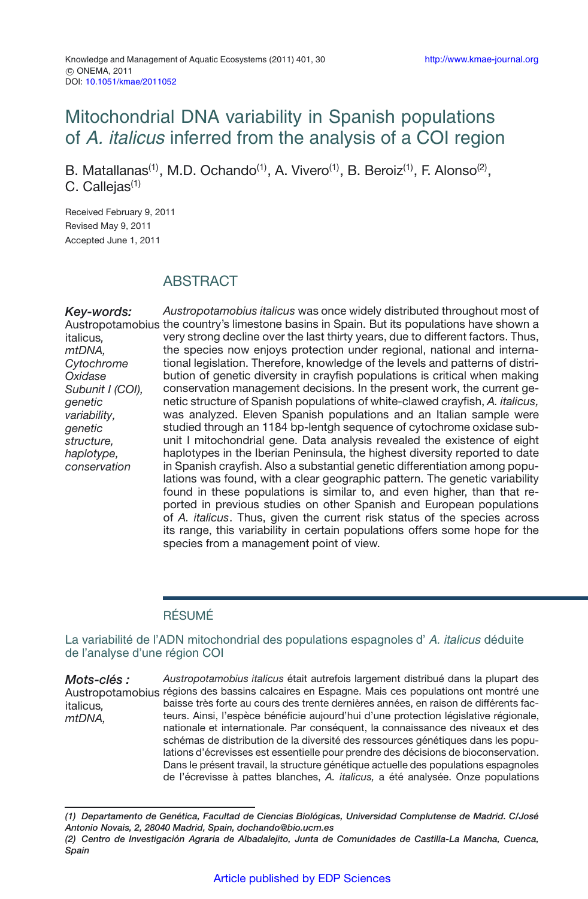# Mitochondrial DNA variability in Spanish populations of A. italicus inferred from the analysis of a COI region

B. Matallanas<sup>(1)</sup>, M.D. Ochando<sup>(1)</sup>, A. Vivero<sup>(1)</sup>, B. Beroiz<sup>(1)</sup>, F. Alonso<sup>(2)</sup>, C. Callejas $(1)$ 

Received February 9, 2011 Revised May 9, 2011 Accepted June 1, 2011

italicus*, mtDNA,*

*Oxidase*

*genetic*

*genetic*

# **ABSTRACT**

*Key-words:* Austropotamobius the country's limestone basins in Spain. But its populations have shown a *Cytochrome Subunit I (COI), variability, structure, haplotype, conservation Austropotamobius italicus* was once widely distributed throughout most of very strong decline over the last thirty years, due to different factors. Thus, the species now enjoys protection under regional, national and international legislation. Therefore, knowledge of the levels and patterns of distribution of genetic diversity in crayfish populations is critical when making conservation management decisions. In the present work, the current genetic structure of Spanish populations of white-clawed crayfish, *A. italicus,* was analyzed. Eleven Spanish populations and an Italian sample were studied through an 1184 bp-lentgh sequence of cytochrome oxidase subunit I mitochondrial gene. Data analysis revealed the existence of eight haplotypes in the Iberian Peninsula, the highest diversity reported to date in Spanish crayfish. Also a substantial genetic differentiation among populations was found, with a clear geographic pattern. The genetic variability found in these populations is similar to, and even higher, than that reported in previous studies on other Spanish and European populations of *A. italicus*. Thus, given the current risk status of the species across its range, this variability in certain populations offers some hope for the species from a management point of view.

### RÉSUMÉ

La variabilité de l'ADN mitochondrial des populations espagnoles d'A. italicus déduite de l'analyse d'une région COI

*Mots-clés :* Austropotamobius régions des bassins calcaires en Espagne. Mais ces populations ont montré une italicus*, mtDNA, Austropotamobius italicus* était autrefois largement distribué dans la plupart des baisse très forte au cours des trente dernières années, en raison de différents facteurs. Ainsi, l'espèce bénéficie aujourd'hui d'une protection législative régionale, nationale et internationale. Par conséquent, la connaissance des niveaux et des schémas de distribution de la diversité des ressources génétiques dans les populations d'écrevisses est essentielle pour prendre des décisions de bioconservation. Dans le présent travail, la structure génétique actuelle des populations espagnoles de l'écrevisse à pattes blanches, *A. italicus,* a été analysée. Onze populations

*<sup>(1)</sup> Departamento de Genética, Facultad de Ciencias Biológicas, Universidad Complutense de Madrid. C/José Antonio Novais, 2, 28040 Madrid, Spain, dochando@bio.ucm.es*

*<sup>(2)</sup> Centro de Investigación Agraria de Albadalejito, Junta de Comunidades de Castilla-La Mancha, Cuenca, Spain*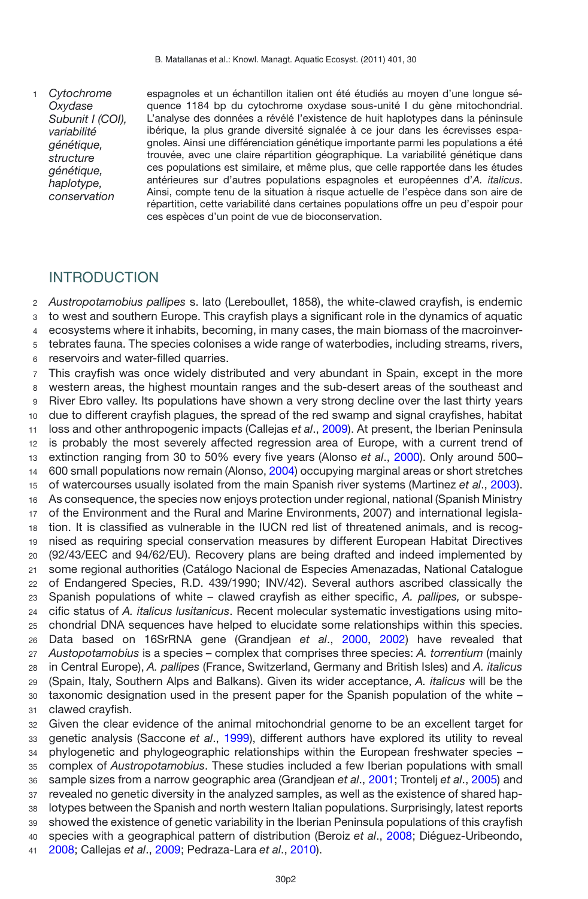*Cytochrome Oxydase Subunit I (COI), variabilité génétique, structure génétique, haplotype, conservation* 

espagnoles et un échantillon italien ont été étudiés au moyen d'une longue séquence 1184 bp du cytochrome oxydase sous-unité I du gène mitochondrial. L'analyse des données a révélé l'existence de huit haplotypes dans la péninsule ibérique, la plus grande diversité signalée à ce jour dans les écrevisses espagnoles. Ainsi une différenciation génétique importante parmi les populations a été trouvée, avec une claire répartition géographique. La variabilité génétique dans ces populations est similaire, et même plus, que celle rapportée dans les études antérieures sur d'autres populations espagnoles et européennes d'*A. italicus*. Ainsi, compte tenu de la situation à risque actuelle de l'espèce dans son aire de répartition, cette variabilité dans certaines populations offre un peu d'espoir pour ces espèces d'un point de vue de bioconservation.

# INTRODUCTION

 *Austropotamobius pallipes* s. lato (Lereboullet, 1858), the white-clawed crayfish, is endemic to west and southern Europe. This crayfish plays a significant role in the dynamics of aquatic ecosystems where it inhabits, becoming, in many cases, the main biomass of the macroinver-tebrates fauna. The species colonises a wide range of waterbodies, including streams, rivers,

reservoirs and water-filled quarries.

 This crayfish was once widely distributed and very abundant in Spain, except in the more western areas, the highest mountain ranges and the sub-desert areas of the southeast and River Ebro valley. Its populations have shown a very strong decline over the last thirty years due to different crayfish plagues, the spread of the red swamp and signal crayfishes, habitat loss and other anthropogenic impacts (Callejas *et al*., [2009\)](#page-11-0). At present, the Iberian Peninsula is probably the most severely affected regression area of Europe, with a current trend of extinction ranging from 30 to 50% every five years (Alonso *et al*., [2000](#page-11-1)). Only around 500– 600 small populations now remain (Alonso, [2004\)](#page-11-2) occupying marginal areas or short stretches of watercourses usually isolated from the main Spanish river systems (Martinez *et al*., [2003](#page-12-0)). As consequence, the species now enjoys protection under regional, national (Spanish Ministry of the Environment and the Rural and Marine Environments, 2007) and international legisla- tion. It is classified as vulnerable in the IUCN red list of threatened animals, and is recog- nised as requiring special conservation measures by different European Habitat Directives (92/43/EEC and 94/62/EU). Recovery plans are being drafted and indeed implemented by some regional authorities (Catálogo Nacional de Especies Amenazadas, National Catalogue of Endangered Species, R.D. 439/1990; INV/42). Several authors ascribed classically the Spanish populations of white – clawed crayfish as either specific, *A. pallipes,* or subspe- cific status of *A. italicus lusitanicus*. Recent molecular systematic investigations using mito- chondrial DNA sequences have helped to elucidate some relationships within this species. Data based on 16SrRNA gene (Grandjean *et al*., [2000](#page-12-1), [2002\)](#page-12-2) have revealed that *Austopotamobius* is a species – complex that comprises three species: *A. torrentium* (mainly in Central Europe), *A. pallipes* (France, Switzerland, Germany and British Isles) and *A. italicus* (Spain, Italy, Southern Alps and Balkans). Given its wider acceptance, *A. italicus* will be the taxonomic designation used in the present paper for the Spanish population of the white – clawed crayfish.

 Given the clear evidence of the animal mitochondrial genome to be an excellent target for genetic analysis (Saccone *et al*., [1999](#page-13-0)), different authors have explored its utility to reveal phylogenetic and phylogeographic relationships within the European freshwater species – complex of *Austropotamobius*. These studies included a few Iberian populations with small sample sizes from a narrow geographic area (Grandjean *et al*., [2001](#page-12-3); Trontelj *et al*., [2005](#page-13-1)) and revealed no genetic diversity in the analyzed samples, as well as the existence of shared hap- lotypes between the Spanish and north western Italian populations. Surprisingly, latest reports showed the existence of genetic variability in the Iberian Peninsula populations of this crayfish species with a geographical pattern of distribution (Beroiz *et al*., [2008;](#page-11-3) Diéguez-Uribeondo, [2008;](#page-11-4) Callejas *et al*., [2009;](#page-11-0) Pedraza-Lara *et al*., [2010](#page-13-2)).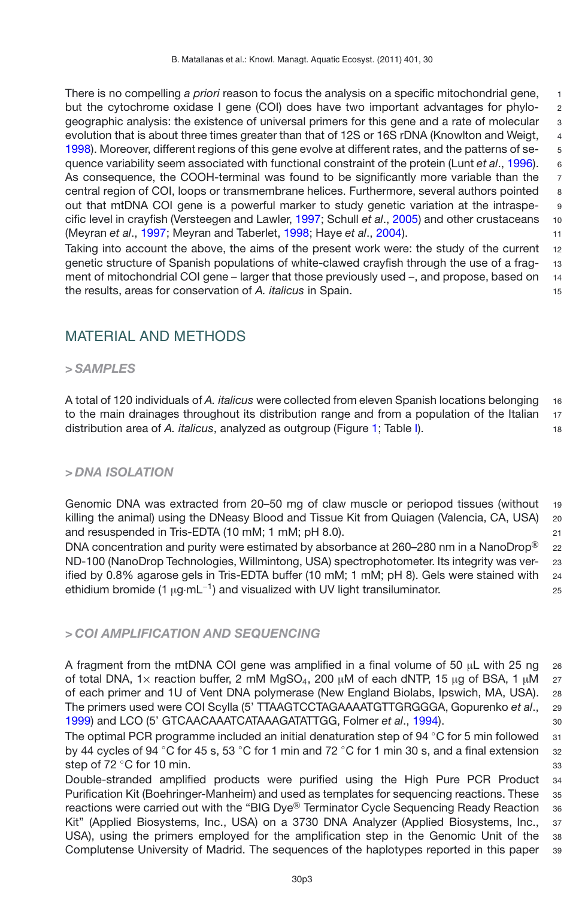There is no compelling *a priori* reason to focus the analysis on a specific mitochondrial gene. but the cytochrome oxidase I gene (COI) does have two important advantages for phylogeographic analysis: the existence of universal primers for this gene and a rate of molecular 3 evolution that is about three times greater than that of 12S or 16S rDNA (Knowlton and Weigt, 4 [1998\)](#page-12-4). Moreover, different regions of this gene evolve at different rates, and the patterns of se- 5 quence variability seem associated with functional constraint of the protein (Lunt *et al*., [1996](#page-12-5)). 6 As consequence, the COOH-terminal was found to be significantly more variable than the 7 central region of COI, loops or transmembrane helices. Furthermore, several authors pointed 8 out that mtDNA COI gene is a powerful marker to study genetic variation at the intraspecific level in crayfish (Versteegen and Lawler, [1997](#page-13-3); Schull *et al*., [2005\)](#page-13-4) and other crustaceans 10 (Meyran *et al*., [1997](#page-13-5); Meyran and Taberlet, [1998](#page-13-6); Haye *et al*., [2004\)](#page-12-6). 11 Taking into account the above, the aims of the present work were; the study of the current 12

genetic structure of Spanish populations of white-clawed crayfish through the use of a frag- 13 ment of mitochondrial COI gene – larger that those previously used –, and propose, based on 14 the results, areas for conservation of *A. italicus* in Spain. 15

# MATERIAL AND METHODS

### *> SAMPLES*

A total of 120 individuals of *A. italicus* were collected from eleven Spanish locations belonging <sup>16</sup> to the main drainages throughout its distribution range and from a population of the Italian 17 distribution area of *A. italicus*, analyzed as outgroup (Figure [1;](#page-3-0) Table [I\)](#page-4-0). <sup>18</sup>

### *> DNA ISOLATION*

Genomic DNA was extracted from 20–50 mg of claw muscle or periopod tissues (without <sup>19</sup> killing the animal) using the DNeasy Blood and Tissue Kit from Quiagen (Valencia, CA, USA) 20 and resuspended in Tris-EDTA (10 mM; 1 mM; pH 8.0). 21

DNA concentration and purity were estimated by absorbance at 260–280 nm in a NanoDrop<sup>®</sup> 22 ND-100 (NanoDrop Technologies, Willmintong, USA) spectrophotometer. Its integrity was ver- <sup>23</sup> ified by 0.8% agarose gels in Tris-EDTA buffer (10 mM; 1 mM; pH 8). Gels were stained with 24 ethidium bromide (1  $\mu$ g·mL<sup>-1</sup>) and visualized with UV light transiluminator. 25

### *> COI AMPLIFICATION AND SEQUENCING*

A fragment from the mtDNA COI gene was amplified in a final volume of 50  $\mu$ L with 25 ng 26 of total DNA, 1 $\times$  reaction buffer, 2 mM MgSO<sub>4</sub>, 200 μM of each dNTP, 15 μg of BSA, 1 μM 27 of each primer and 1U of Vent DNA polymerase (New England Biolabs, Ipswich, MA, USA). <sup>28</sup> The primers used were COI Scylla (5' TTAAGTCCTAGAAAATGTTGRGGGA, Gopurenko *et al*., <sup>29</sup> [1999\)](#page-12-7) and LCO (5' GTCAACAAATCATAAAGATATTGG, Folmer *et al*., [1994](#page-12-8)). <sup>30</sup>

The optimal PCR programme included an initial denaturation step of 94  $\degree$ C for 5 min followed 31 by 44 cycles of 94 °C for 45 s, 53 °C for 1 min and 72 °C for 1 min 30 s, and a final extension 32 step of 72 ℃ for 10 min. 33

Double-stranded amplified products were purified using the High Pure PCR Product <sup>34</sup> Purification Kit (Boehringer-Manheim) and used as templates for sequencing reactions. These 35 reactions were carried out with the "BIG Dye® Terminator Cycle Sequencing Ready Reaction 36 Kit" (Applied Biosystems, Inc., USA) on a 3730 DNA Analyzer (Applied Biosystems, Inc., <sup>37</sup> USA), using the primers employed for the amplification step in the Genomic Unit of the <sup>38</sup> Complutense University of Madrid. The sequences of the haplotypes reported in this paper <sup>39</sup>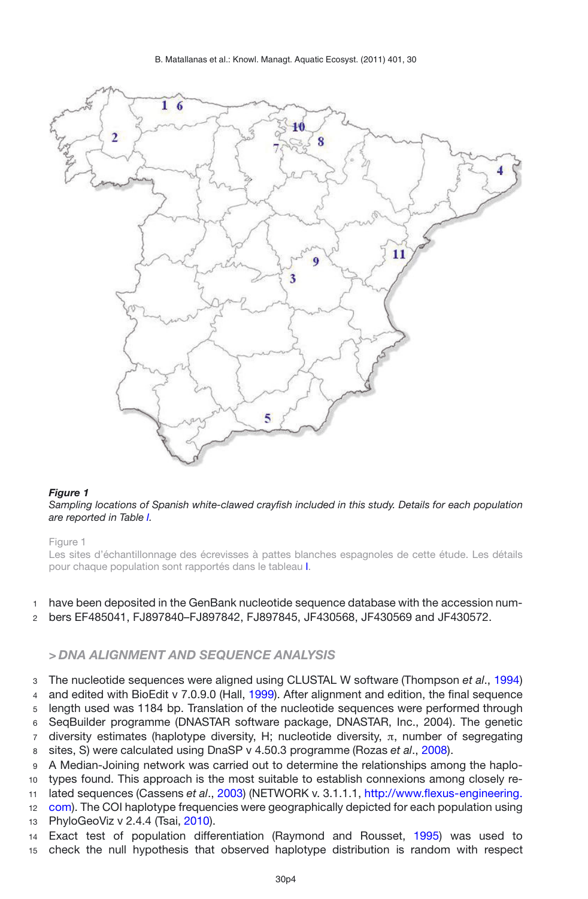B. Matallanas et al.: Knowl. Managt. Aquatic Ecosyst. (2011) 401, 30



#### <span id="page-3-0"></span>*Figure 1*

*Sampling locations of Spanish white-clawed crayfish included in this study. Details for each population are reported in Table [I.](#page-4-0)*

#### Figure 1

Les sites d'échantillonnage des écrevisses à pattes blanches espagnoles de cette étude. Les détails pour chaque population sont rapportés dans le tableau [I.](#page-4-0)

### have been deposited in the GenBank nucleotide sequence database with the accession num-

bers EF485041, FJ897840–FJ897842, FJ897845, JF430568, JF430569 and JF430572.

### *> DNA ALIGNMENT AND SEQUENCE ANALYSIS*

 The nucleotide sequences were aligned using CLUSTAL W software (Thompson *et al*., [1994\)](#page-13-7) and edited with BioEdit v 7.0.9.0 (Hall, [1999\)](#page-12-9). After alignment and edition, the final sequence length used was 1184 bp. Translation of the nucleotide sequences were performed through SeqBuilder programme (DNASTAR software package, DNASTAR, Inc., 2004). The genetic diversity estimates (haplotype diversity, H; nucleotide diversity, π, number of segregating sites, S) were calculated using DnaSP v 4.50.3 programme (Rozas *et al*., [2008](#page-13-8)).

 A Median-Joining network was carried out to determine the relationships among the haplo-types found. This approach is the most suitable to establish connexions among closely re-

lated sequences (Cassens *et al*., [2003\)](#page-11-5) (NETWORK v. 3.1.1.1, [http://www.flexus-engineering.](http://www.flexus-engineering.com)

[com\)](http://www.flexus-engineering.com). The COI haplotype frequencies were geographically depicted for each population using

PhyloGeoViz v 2.4.4 (Tsai, [2010\)](#page-13-9).

 Exact test of population differentiation (Raymond and Rousset, [1995](#page-13-10)) was used to check the null hypothesis that observed haplotype distribution is random with respect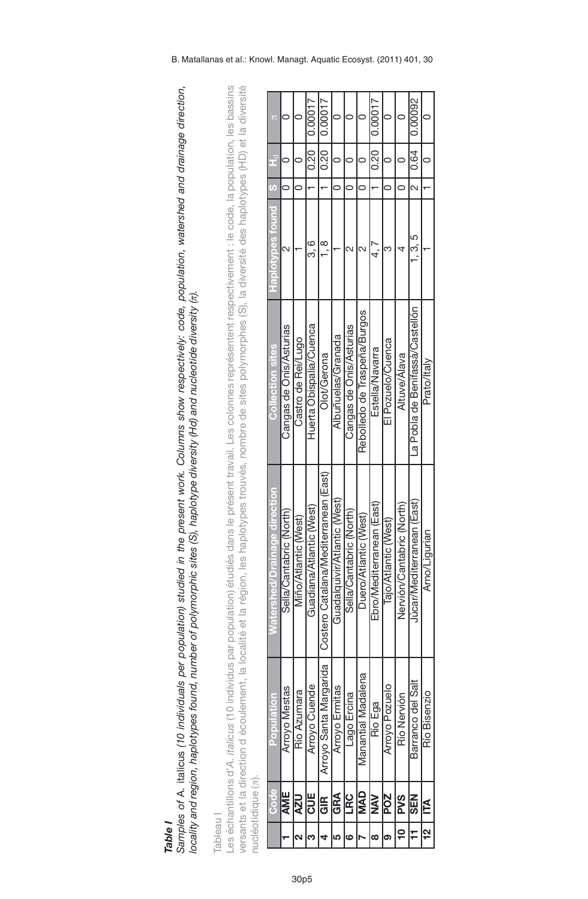|                |                    | versants et la direction d'écoulement, la localité et la |                                          | région, les haplotypes trouvés, nombre de sites polymorphes (S), la diversité des haplotypes (HD) et la diversité |                         |               |                |         |
|----------------|--------------------|----------------------------------------------------------|------------------------------------------|-------------------------------------------------------------------------------------------------------------------|-------------------------|---------------|----------------|---------|
|                | nucléotidique (π). |                                                          |                                          |                                                                                                                   |                         |               |                |         |
|                | Code               | Population                                               | shed/Drainage direction<br><b>Maters</b> | <b>Collection sites</b>                                                                                           | <b>Punot seq/10108H</b> | $\mathfrak o$ | È              |         |
|                | AME                | Arroyo Mestas                                            | Sella/Cantabric (North)                  | Cangas de Onis/Asturias                                                                                           |                         |               |                |         |
|                | <b>NZN</b>         | Río Azumara                                              | Viño/Atlantic (West)                     | Castro de Rei/Lugo                                                                                                |                         | $\circ$       |                |         |
| ო              | UE<br>ට            | Arroyo Cuende                                            | Guadiana/Atlantic (West)                 | Huerta Obispalia/Cuenca                                                                                           | ဝ<br>က                  |               | $\frac{1}{20}$ | 0.00017 |
|                | ු<br>ම             | Arroyo Santa Margarida                                   | Costero Catalana/Mediterranean (Easti    | Olot/Gerona                                                                                                       | $\infty$                |               | $\frac{1}{20}$ | 0.00017 |
| ഥ              | GRA                | Arroyo Ermitas                                           | Guadalquivir/Atlantic (West)             | Albuñuelas/Granada                                                                                                |                         |               |                |         |
| ဖ              | LRC                | Lago Ercina                                              | Sella/Cantabric (North)                  | Cangas de Onís/Asturias                                                                                           |                         |               |                |         |
|                | <b>QVM</b>         | Manantial Madalena                                       | Duero/Atlantic (West)                    | Rebolledo de Traspeña/Burgos                                                                                      |                         | $\circ$       |                |         |
| œ              | <b>NAN</b>         | Río Ega                                                  | Ebro/Mediterranean (East)                | Estella/Navarra                                                                                                   |                         |               | $\frac{1}{20}$ | 0.00017 |
| G,             | POZ                | Arroyo Pozuelo                                           | Tajo/Atlantic (West)                     | El Pozuelo/Cuenca                                                                                                 |                         |               |                |         |
| $\overline{a}$ | <b>PVS</b>         | Río Nervión                                              | Nervión/Cantabric (North)                | Altuve/Alava                                                                                                      |                         |               |                |         |
| H              | <b>NBS</b>         | Barranco del Salt                                        | lúcar/Mediterranean (East)               | La Pobla de Benifassà/Castellón                                                                                   | ი<br>ი.                 | $\sim$        | 0.64           | 0.00092 |
| <u>ល</u>       | É                  | Río Bisenzio                                             | Arno/Ligurian                            | Prato/Italy                                                                                                       |                         |               |                | c       |

Samples of A. italicus (10 individuals per population) studied in the present work. Columns show respectively: code, population, watershed and drainage direction, **Table I**<br>Samples of A. italicus (10 individuals per population) studied in the present work. Columns show respectively: code, population, watershed and drainage direction,<br>Iocality and region, haplotypes found, number of locality and region, haplotypes found, number of polymorphic sites (S), haplotype diversity (Hd) and nucleotide diversity (n).

Les échantillons d'A. *italicus* (10 individus par population) étudiés dans le présent travail. Les colonnes représentent respectivement : le code, la population, les bassins

<span id="page-4-0"></span>Tableau<sub>1</sub>

Table I

30p5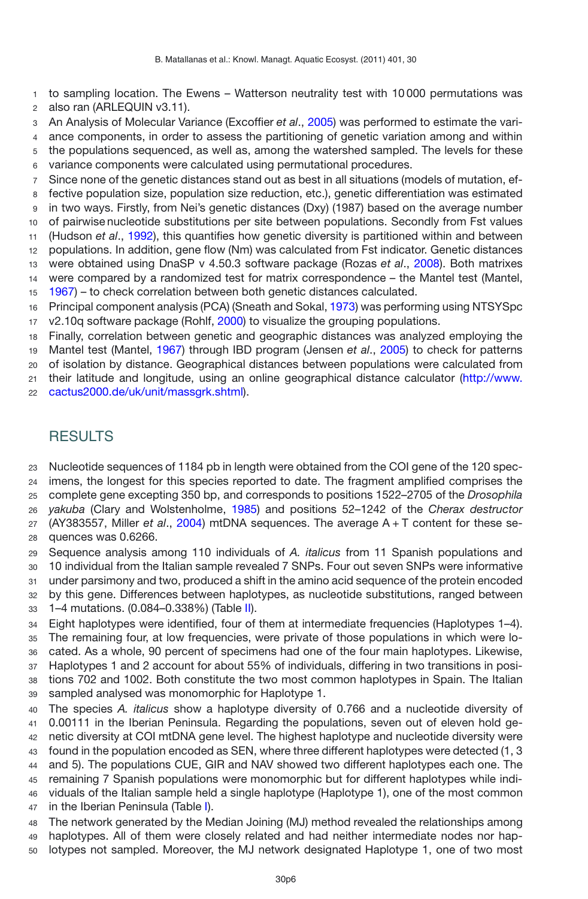- to sampling location. The Ewens Watterson neutrality test with 10 000 permutations was also ran (ARLEQUIN v3.11).
- An Analysis of Molecular Variance (Excoffier *et al*., [2005](#page-12-10)) was performed to estimate the vari-
- ance components, in order to assess the partitioning of genetic variation among and within
- the populations sequenced, as well as, among the watershed sampled. The levels for these
- variance components were calculated using permutational procedures.
- Since none of the genetic distances stand out as best in all situations (models of mutation, ef-
- fective population size, population size reduction, etc.), genetic differentiation was estimated in two ways. Firstly, from Nei's genetic distances (Dxy) (1987) based on the average number
- of pairwise nucleotide substitutions per site between populations. Secondly from Fst values (Hudson *et al*., [1992\)](#page-12-11), this quantifies how genetic diversity is partitioned within and between
- populations. In addition, gene flow (Nm) was calculated from Fst indicator. Genetic distances
- were obtained using DnaSP v 4.50.3 software package (Rozas *et al*., [2008](#page-13-8)). Both matrixes were compared by a randomized test for matrix correspondence – the Mantel test (Mantel,
- [1967\)](#page-12-12) to check correlation between both genetic distances calculated.
- Principal component analysis (PCA) (Sneath and Sokal, [1973](#page-13-11)) was performing using NTSYSpc v2.10q software package (Rohlf, [2000\)](#page-13-12) to visualize the grouping populations.
- Finally, correlation between genetic and geographic distances was analyzed employing the
- Mantel test (Mantel, [1967\)](#page-12-12) through IBD program (Jensen *et al*., [2005](#page-12-13)) to check for patterns
- of isolation by distance. Geographical distances between populations were calculated from their latitude and longitude, using an online geographical distance calculator [\(http://www.](http://www.cactus2000.de/uk/unit/massgrk.shtml)
- [cactus2000.de/uk/unit/massgrk.shtml\)](http://www.cactus2000.de/uk/unit/massgrk.shtml).

# **RESULTS**

- Nucleotide sequences of 1184 pb in length were obtained from the COI gene of the 120 spec-imens, the longest for this species reported to date. The fragment amplified comprises the
- complete gene excepting 350 bp, and corresponds to positions 1522–2705 of the *Drosophila*
- *yakuba* (Clary and Wolstenholme, [1985\)](#page-11-6) and positions 52–1242 of the *Cherax destructor*
- (AY383557, Miller *et al*., [2004](#page-13-13)) mtDNA sequences. The average A + T content for these se-quences was 0.6266.
- Sequence analysis among 110 individuals of *A. italicus* from 11 Spanish populations and 10 individual from the Italian sample revealed 7 SNPs. Four out seven SNPs were informative under parsimony and two, produced a shift in the amino acid sequence of the protein encoded
- by this gene. Differences between haplotypes, as nucleotide substitutions, ranged between
- 1–4 mutations. (0.084–0.338%) (Table [II\)](#page-6-0).
- Eight haplotypes were identified, four of them at intermediate frequencies (Haplotypes 1–4). The remaining four, at low frequencies, were private of those populations in which were lo- cated. As a whole, 90 percent of specimens had one of the four main haplotypes. Likewise, Haplotypes 1 and 2 account for about 55% of individuals, differing in two transitions in posi-tions 702 and 1002. Both constitute the two most common haplotypes in Spain. The Italian
- sampled analysed was monomorphic for Haplotype 1.
- The species *A. italicus* show a haplotype diversity of 0.766 and a nucleotide diversity of 0.00111 in the Iberian Peninsula. Regarding the populations, seven out of eleven hold ge- netic diversity at COI mtDNA gene level. The highest haplotype and nucleotide diversity were found in the population encoded as SEN, where three different haplotypes were detected (1, 3 and 5). The populations CUE, GIR and NAV showed two different haplotypes each one. The remaining 7 Spanish populations were monomorphic but for different haplotypes while indi-viduals of the Italian sample held a single haplotype (Haplotype 1), one of the most common
- 47 in the Iberian Peninsula (Table [I\)](#page-4-0).
- The network generated by the Median Joining (MJ) method revealed the relationships among haplotypes. All of them were closely related and had neither intermediate nodes nor hap-lotypes not sampled. Moreover, the MJ network designated Haplotype 1, one of two most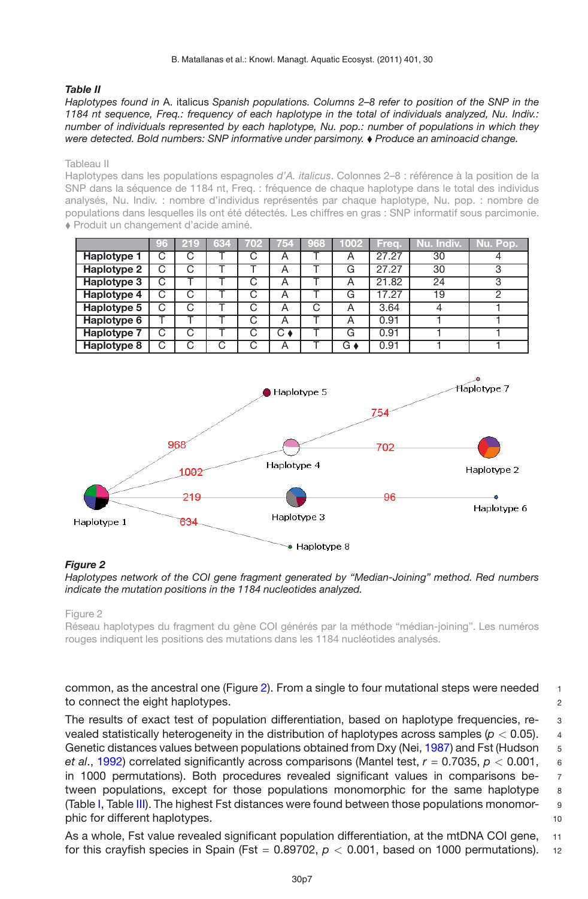#### <span id="page-6-0"></span>*Table II*

*Haplotypes found in* A. italicus *Spanish populations. Columns 2–8 refer to position of the SNP in the 1184 nt sequence, Freq.: frequency of each haplotype in the total of individuals analyzed, Nu. Indiv.: number of individuals represented by each haplotype, Nu. pop.: number of populations in which they were detected. Bold numbers: SNP informative under parsimony. Produce an aminoacid change.*

#### Tableau II

Haplotypes dans les populations espagnoles *d'A. italicus*. Colonnes 2–8 : référence à la position de la SNP dans la séquence de 1184 nt, Freq. : fréquence de chaque haplotype dans le total des individus analysés, Nu. Indiv. : nombre d'individus représentés par chaque haplotype, Nu. pop. : nombre de populations dans lesquelles ils ont été détectés. Les chiffres en gras : SNP informatif sous parcimonie. Produit un changement d'acide aminé.

|                    | 96 | 219 | 634 | 702 |    | 754 968 | 1002 | Frea. | Nu. Indiv. | Nu. Pop. |
|--------------------|----|-----|-----|-----|----|---------|------|-------|------------|----------|
| Haplotype 1        | С  |     |     | ے   | A  |         | Α    | 27.27 | 30         |          |
| <b>Haplotype 2</b> | С  |     |     |     | A  |         | G    | 27.27 | 30         | ◠        |
| Haplotype 3        | С  |     |     | C   | A  |         | Α    | 21.82 | 24         |          |
| Haplotype 4        | С  |     |     | €   | Α  |         | G    | 17.27 | 19         |          |
| Haplotype 5        | С  |     |     | n   | Α  | C.      | Α    | 3.64  |            |          |
| <b>Haplotype 6</b> |    |     |     | С   | Α  |         | Α    | 0.91  |            |          |
| <b>Haplotype 7</b> | С  |     |     | C   | Ск |         | G    | 0.91  |            |          |
| Haplotype 8        |    |     |     |     | А  |         | G♦   | 0.91  |            |          |

<span id="page-6-1"></span>

#### *Figure 2*

*Haplotypes network of the COI gene fragment generated by "Median-Joining" method. Red numbers indicate the mutation positions in the 1184 nucleotides analyzed.*

Figure 2

Réseau haplotypes du fragment du gène COI générés par la méthode "médian-joining". Les numéros rouges indiquent les positions des mutations dans les 1184 nucléotides analysés.

common, as the ancestral one (Figure [2\)](#page-6-1). From a single to four mutational steps were needed  $1$ to connect the eight haplotypes. **2** 2

The results of exact test of population differentiation, based on haplotype frequencies, revealed statistically heterogeneity in the distribution of haplotypes across samples (*p <* 0.05). <sup>4</sup> Genetic distances values between populations obtained from Dxy (Nei, [1987\)](#page-13-14) and Fst (Hudson 5 *et al*., [1992](#page-12-11)) correlated significantly across comparisons (Mantel test, *r* = 0.7035, *p <* 0.001, <sup>6</sup> in 1000 permutations). Both procedures revealed significant values in comparisons be- <sup>7</sup> tween populations, except for those populations monomorphic for the same haplotype 8 (Table [I,](#page-4-0) Table [III\)](#page-7-0). The highest Fst distances were found between those populations monomor- <sup>9</sup> phic for different haplotypes. 10

As a whole, Fst value revealed significant population differentiation, at the mtDNA COI gene, 11 for this crayfish species in Spain (Fst =  $0.89702$ ,  $p < 0.001$ , based on 1000 permutations). 12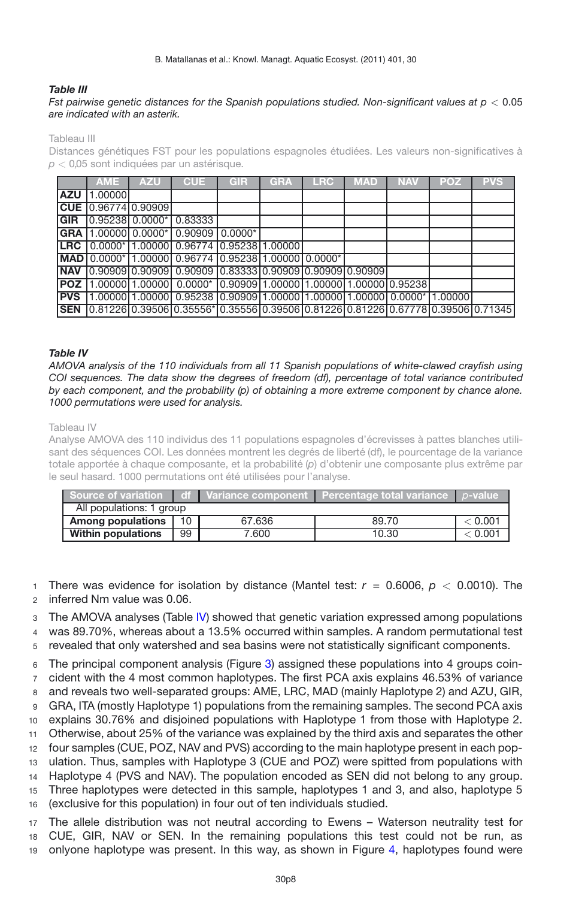#### <span id="page-7-0"></span>*Table III*

#### *Fst pairwise genetic distances for the Spanish populations studied. Non-significant values at p <* 0.05 *are indicated with an asterik.*

Tableau III

Distances génétiques FST pour les populations espagnoles étudiées. Les valeurs non-significatives à *p <* 0*,*05 sont indiquées par un astérisque.

|            | <b>AME</b> | <b>AZU</b>                | <b>CUE</b>                                                                           | <b>GIR</b> | <b>GRA</b> | <b>LRC</b> | <b>MAD</b> | <b>NAV</b> | <b>POZ</b> | <b>PVS</b> |
|------------|------------|---------------------------|--------------------------------------------------------------------------------------|------------|------------|------------|------------|------------|------------|------------|
| <b>AZU</b> | 1.00000    |                           |                                                                                      |            |            |            |            |            |            |            |
|            |            | $CUE$ $ 0.96774 0.90909 $ |                                                                                      |            |            |            |            |            |            |            |
| <b>GIR</b> |            |                           | $0.95238$ 0.0000* 0.83333                                                            |            |            |            |            |            |            |            |
|            |            |                           | GRA 1.00000 0.0000* 0.90909 0.0000*                                                  |            |            |            |            |            |            |            |
| LRC        |            |                           | 0.0000* 1.00000 0.96774 0.95238 1.00000                                              |            |            |            |            |            |            |            |
|            |            |                           | MAD 0.0000* 1.00000 0.96774 0.95238 1.00000 0.0000*                                  |            |            |            |            |            |            |            |
| <b>NAV</b> |            |                           | 0.9090910.9090910.9090910.8333310.9090910.9090910.909091                             |            |            |            |            |            |            |            |
|            |            |                           | <b>POZ</b>  1.00000 1.00000  0.0000*  0.90909 1.00000 1.00000 1.00000 0.95238        |            |            |            |            |            |            |            |
| <b>PVS</b> |            |                           | 1.00000 1.00000 0.95238 0.90909 1.00000 1.00000 1.00000 0.0000 1.00000               |            |            |            |            |            |            |            |
| <b>SEN</b> |            |                           | $[0.81226]0.39506]0.35556* [0.35556]0.39506]0.81226]0.81226]0.67778]0.39506]0.71345$ |            |            |            |            |            |            |            |

#### <span id="page-7-1"></span>*Table IV*

*AMOVA analysis of the 110 individuals from all 11 Spanish populations of white-clawed crayfish using COI sequences. The data show the degrees of freedom (df), percentage of total variance contributed by each component, and the probability (p) of obtaining a more extreme component by chance alone. 1000 permutations were used for analysis.*

#### Tableau IV

Analyse AMOVA des 110 individus des 11 populations espagnoles d'écrevisses à pattes blanches utilisant des séquences COI. Les données montrent les degrés de liberté (df), le pourcentage de la variance totale apportée à chaque composante, et la probabilité (*p*) d'obtenir une composante plus extrême par le seul hasard. 1000 permutations ont été utilisées pour l'analyse.

|                           |    |        | Source of variation $\Box$ of L Variance component L Percentage total variance L p-value. |                |
|---------------------------|----|--------|-------------------------------------------------------------------------------------------|----------------|
| All populations: 1 group  |    |        |                                                                                           |                |
| <b>Among populations</b>  | 10 | 67.636 | 89.70                                                                                     | $<$ 0.001 $\,$ |
| <b>Within populations</b> | 99 | 7.600  | 10.30                                                                                     | < 0.001        |

<sup>1</sup> There was evidence for isolation by distance (Mantel test: *r* = 0.6006, *p <* 0.0010). The <sup>2</sup> inferred Nm value was 0.06.

<sup>3</sup> The AMOVA analyses (Table [IV\)](#page-7-1) showed that genetic variation expressed among populations

<sup>4</sup> was 89.70%, whereas about a 13.5% occurred within samples. A random permutational test

<sup>5</sup> revealed that only watershed and sea basins were not statistically significant components.

 The principal component analysis (Figure [3\)](#page-8-0) assigned these populations into 4 groups coin- cident with the 4 most common haplotypes. The first PCA axis explains 46.53% of variance and reveals two well-separated groups: AME, LRC, MAD (mainly Haplotype 2) and AZU, GIR, GRA, ITA (mostly Haplotype 1) populations from the remaining samples. The second PCA axis explains 30.76% and disjoined populations with Haplotype 1 from those with Haplotype 2. Otherwise, about 25% of the variance was explained by the third axis and separates the other four samples (CUE, POZ, NAV and PVS) according to the main haplotype present in each pop- ulation. Thus, samples with Haplotype 3 (CUE and POZ) were spitted from populations with Haplotype 4 (PVS and NAV). The population encoded as SEN did not belong to any group. Three haplotypes were detected in this sample, haplotypes 1 and 3, and also, haplotype 5 (exclusive for this population) in four out of ten individuals studied.

<sup>17</sup> The allele distribution was not neutral according to Ewens – Waterson neutrality test for <sup>18</sup> CUE, GIR, NAV or SEN. In the remaining populations this test could not be run, as <sup>19</sup> onlyone haplotype was present. In this way, as shown in Figure [4,](#page-8-1) haplotypes found were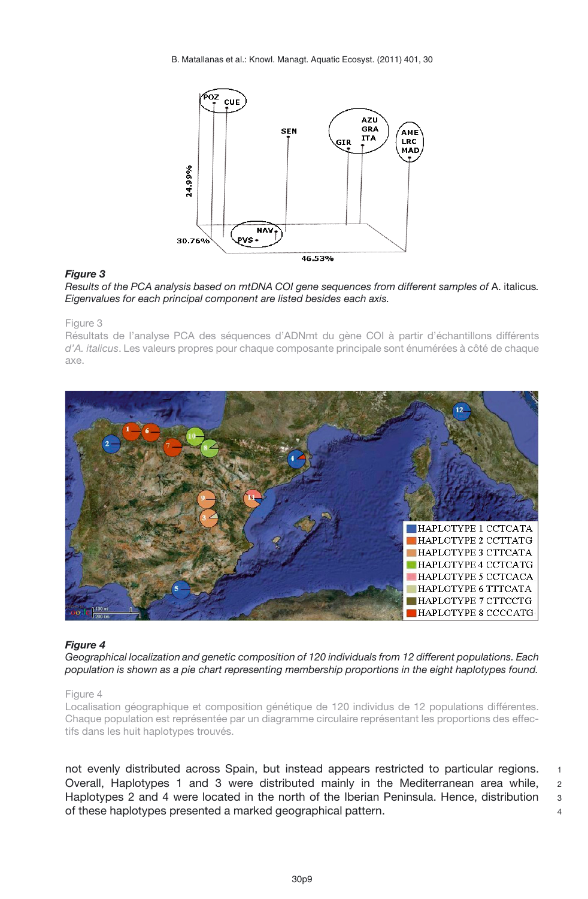<span id="page-8-0"></span>B. Matallanas et al.: Knowl. Managt. Aquatic Ecosyst. (2011) 401, 30



#### *Figure 3*

*Results of the PCA analysis based on mtDNA COI gene sequences from different samples of* A. italicus*. Eigenvalues for each principal component are listed besides each axis.*

#### Figure 3

Résultats de l'analyse PCA des séquences d'ADNmt du gène COI à partir d'échantillons différents *d'A. italicus*. Les valeurs propres pour chaque composante principale sont énumérées à côté de chaque axe.

<span id="page-8-1"></span>

#### *Figure 4*

*Geographical localization and genetic composition of 120 individuals from 12 different populations. Each population is shown as a pie chart representing membership proportions in the eight haplotypes found.*

#### Figure 4

Localisation géographique et composition génétique de 120 individus de 12 populations différentes. Chaque population est représentée par un diagramme circulaire représentant les proportions des effectifs dans les huit haplotypes trouvés.

not evenly distributed across Spain, but instead appears restricted to particular regions. 1 Overall, Haplotypes 1 and 3 were distributed mainly in the Mediterranean area while, <sup>2</sup> Haplotypes 2 and 4 were located in the north of the Iberian Peninsula. Hence, distribution 3 of these haplotypes presented a marked geographical pattern. <sup>4</sup>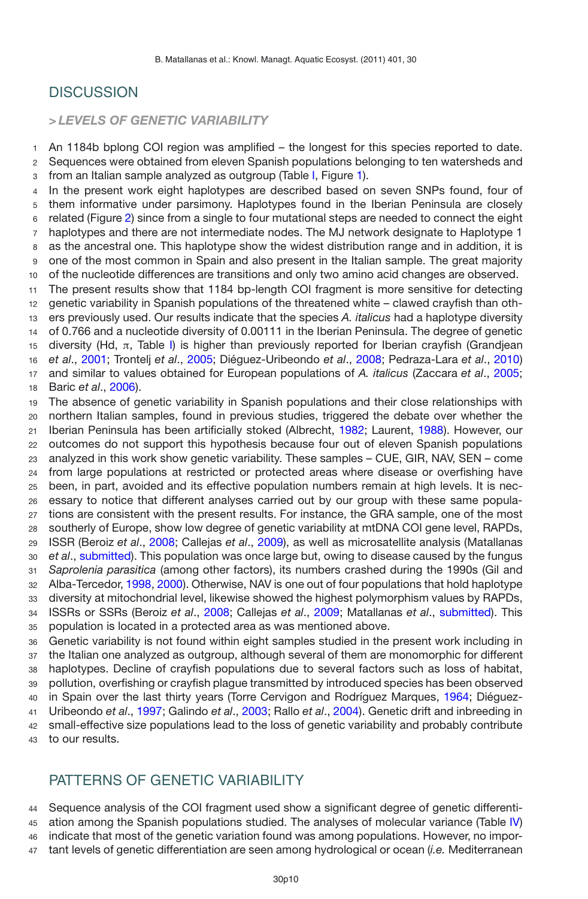# **DISCUSSION**

# *> LEVELS OF GENETIC VARIABILITY*

 An 1184b bplong COI region was amplified – the longest for this species reported to date. Sequences were obtained from eleven Spanish populations belonging to ten watersheds and from an Italian sample analyzed as outgroup (Table [I,](#page-4-0) Figure [1\)](#page-3-0).

 In the present work eight haplotypes are described based on seven SNPs found, four of them informative under parsimony. Haplotypes found in the Iberian Peninsula are closely related (Figure [2\)](#page-6-1) since from a single to four mutational steps are needed to connect the eight haplotypes and there are not intermediate nodes. The MJ network designate to Haplotype 1 as the ancestral one. This haplotype show the widest distribution range and in addition, it is one of the most common in Spain and also present in the Italian sample. The great majority of the nucleotide differences are transitions and only two amino acid changes are observed.

 The present results show that 1184 bp-length COI fragment is more sensitive for detecting genetic variability in Spanish populations of the threatened white – clawed crayfish than oth- ers previously used. Our results indicate that the species *A. italicus* had a haplotype diversity of 0.766 and a nucleotide diversity of 0.00111 in the Iberian Peninsula. The degree of genetic 15 diversity (Hd, π, Table [I\)](#page-4-0) is higher than previously reported for Iberian crayfish (Grandjean *et al*., [2001;](#page-12-3) Trontelj *et al*., [2005;](#page-13-1) Diéguez-Uribeondo *et al*., [2008](#page-11-4); Pedraza-Lara *et al*., [2010\)](#page-13-2) and similar to values obtained for European populations of *A. italicus* (Zaccara *et al*., [2005;](#page-13-15) Baric *et al*., [2006](#page-11-7)).

 The absence of genetic variability in Spanish populations and their close relationships with northern Italian samples, found in previous studies, triggered the debate over whether the Iberian Peninsula has been artificially stoked (Albrecht, [1982](#page-11-8); Laurent, [1988\)](#page-12-14). However, our outcomes do not support this hypothesis because four out of eleven Spanish populations analyzed in this work show genetic variability. These samples – CUE, GIR, NAV, SEN – come from large populations at restricted or protected areas where disease or overfishing have been, in part, avoided and its effective population numbers remain at high levels. It is nec- essary to notice that different analyses carried out by our group with these same popula- tions are consistent with the present results. For instance, the GRA sample, one of the most southerly of Europe, show low degree of genetic variability at mtDNA COI gene level, RAPDs, ISSR (Beroiz *et al*., [2008;](#page-11-3) Callejas *et al*., [2009\)](#page-11-0), as well as microsatellite analysis (Matallanas *et al*., [submitted\)](#page-13-16). This population was once large but, owing to disease caused by the fungus *Saprolenia parasitica* (among other factors), its numbers crashed during the 1990s (Gil and Alba-Tercedor, [1998](#page-12-15), [2000\)](#page-12-16). Otherwise, NAV is one out of four populations that hold haplotype diversity at mitochondrial level, likewise showed the highest polymorphism values by RAPDs, ISSRs or SSRs (Beroiz *et al*., [2008](#page-11-3); Callejas *et al*., [2009;](#page-11-0) Matallanas *et al*., [submitted](#page-13-16)). This population is located in a protected area as was mentioned above.

 Genetic variability is not found within eight samples studied in the present work including in the Italian one analyzed as outgroup, although several of them are monomorphic for different haplotypes. Decline of crayfish populations due to several factors such as loss of habitat, pollution, overfishing or crayfish plague transmitted by introduced species has been observed in Spain over the last thirty years (Torre Cervigon and Rodríguez Marques, [1964](#page-13-17); Diéguez- Uribeondo *et al*., [1997;](#page-11-9) Galindo *et al*., [2003](#page-12-17); Rallo *et al*., [2004](#page-13-18)). Genetic drift and inbreeding in small-effective size populations lead to the loss of genetic variability and probably contribute to our results.

# PATTERNS OF GENETIC VARIABILITY

 Sequence analysis of the COI fragment used show a significant degree of genetic differenti- ation among the Spanish populations studied. The analyses of molecular variance (Table [IV\)](#page-7-1) indicate that most of the genetic variation found was among populations. However, no impor-tant levels of genetic differentiation are seen among hydrological or ocean (*i.e.* Mediterranean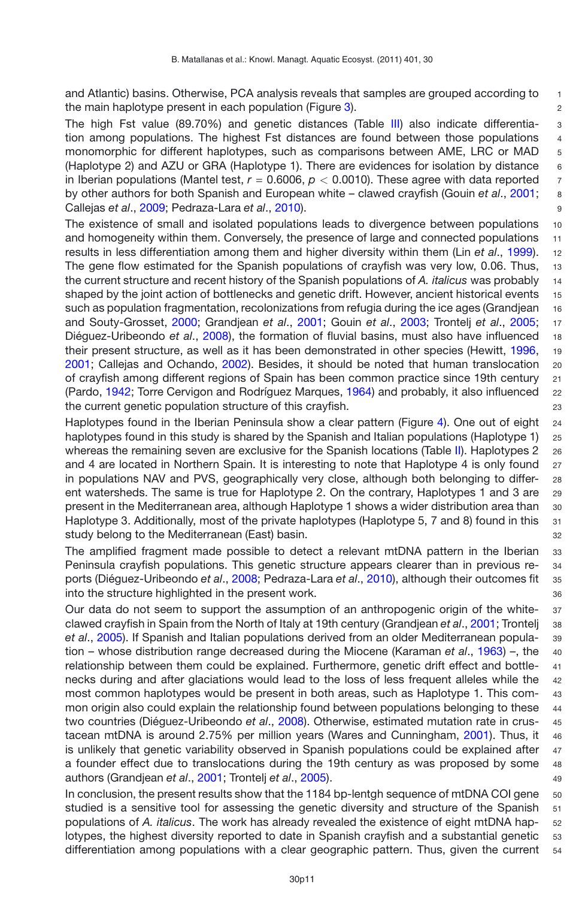and Atlantic) basins. Otherwise, PCA analysis reveals that samples are grouped according to  $11$ the main haplotype present in each population (Figure [3\)](#page-8-0). 2

The high Fst value (89.70%) and genetic distances (Table [III\)](#page-7-0) also indicate differentia- 3 tion among populations. The highest Fst distances are found between those populations 4 monomorphic for different haplotypes, such as comparisons between AME, LRC or MAD 5 (Haplotype 2) and AZU or GRA (Haplotype 1). There are evidences for isolation by distance 6 in Iberian populations (Mantel test,  $r = 0.6006$ ,  $p < 0.0010$ ). These agree with data reported  $\bar{r}$ by other authors for both Spanish and European white – clawed crayfish (Gouin *et al*., [2001;](#page-12-18) 8 Callejas *et al*., [2009](#page-11-0); Pedraza-Lara *et al*., [2010\)](#page-13-2). 9

The existence of small and isolated populations leads to divergence between populations 10 and homogeneity within them. Conversely, the presence of large and connected populations 11 results in less differentiation among them and higher diversity within them (Lin *et al*., [1999](#page-12-19)). 12 The gene flow estimated for the Spanish populations of crayfish was very low, 0.06. Thus, 13 the current structure and recent history of the Spanish populations of *A. italicus* was probably 14 shaped by the joint action of bottlenecks and genetic drift. However, ancient historical events 15 such as population fragmentation, recolonizations from refugia during the ice ages (Grandjean 16 and Souty-Grosset, [2000](#page-12-20); Grandjean *et al*., [2001](#page-12-3); Gouin *et al*., [2003;](#page-12-21) Trontelj *et al*., [2005;](#page-13-1) <sup>17</sup> Diéguez-Uribeondo *et al*., [2008](#page-11-4)), the formation of fluvial basins, must also have influenced <sup>18</sup> their present structure, as well as it has been demonstrated in other species (Hewitt, [1996,](#page-12-22) 19 [2001;](#page-12-23) Callejas and Ochando, [2002](#page-11-10)). Besides, it should be noted that human translocation <sup>20</sup> of crayfish among different regions of Spain has been common practice since 19th century <sup>21</sup> (Pardo, [1942;](#page-13-19) Torre Cervigon and Rodríguez Marques, [1964\)](#page-13-17) and probably, it also influenced <sup>22</sup> the current genetic population structure of this crayfish.  $23$ 

Haplotypes found in the Iberian Peninsula show a clear pattern (Figure [4\)](#page-8-1). One out of eight 24 haplotypes found in this study is shared by the Spanish and Italian populations (Haplotype 1) 25 whereas the remaining seven are exclusive for the Spanish locations (Table [II\)](#page-6-0). Haplotypes 2 26 and 4 are located in Northern Spain. It is interesting to note that Haplotype 4 is only found 27 in populations NAV and PVS, geographically very close, although both belonging to differ- <sup>28</sup> ent watersheds. The same is true for Haplotype 2. On the contrary, Haplotypes 1 and 3 are <sup>29</sup> present in the Mediterranean area, although Haplotype 1 shows a wider distribution area than <sup>30</sup> Haplotype 3. Additionally, most of the private haplotypes (Haplotype 5, 7 and 8) found in this 31 study belong to the Mediterranean (East) basin.  $32$ 

The amplified fragment made possible to detect a relevant mtDNA pattern in the Iberian <sup>33</sup> Peninsula crayfish populations. This genetic structure appears clearer than in previous re- <sup>34</sup> ports (Diéguez-Uribeondo *et al*., [2008](#page-11-4); Pedraza-Lara *et al*., [2010\)](#page-13-2), although their outcomes fit <sup>35</sup> into the structure highlighted in the present work.  $36$ 

Our data do not seem to support the assumption of an anthropogenic origin of the white- <sup>37</sup> clawed crayfish in Spain from the North of Italy at 19th century (Grandjean *et al*., [2001](#page-12-3); Trontelj <sup>38</sup> *et al*., [2005](#page-13-1)). If Spanish and Italian populations derived from an older Mediterranean popula- <sup>39</sup> tion – whose distribution range decreased during the Miocene (Karaman *et al*., [1963](#page-12-24)) –, the <sup>40</sup> relationship between them could be explained. Furthermore, genetic drift effect and bottle- <sup>41</sup> necks during and after glaciations would lead to the loss of less frequent alleles while the <sup>42</sup> most common haplotypes would be present in both areas, such as Haplotype 1. This com- <sup>43</sup> mon origin also could explain the relationship found between populations belonging to these 44 two countries (Diéguez-Uribeondo *et al*., [2008\)](#page-11-4). Otherwise, estimated mutation rate in crus- <sup>45</sup> tacean mtDNA is around 2.75% per million years (Wares and Cunningham, [2001\)](#page-13-20). Thus, it 46 is unlikely that genetic variability observed in Spanish populations could be explained after 47 a founder effect due to translocations during the 19th century as was proposed by some <sup>48</sup> authors (Grandjean *et al*., [2001;](#page-12-3) Trontelj *et al*., [2005](#page-13-1)). <sup>49</sup>

In conclusion, the present results show that the 1184 bp-lentgh sequence of mtDNA COI gene  $50$ studied is a sensitive tool for assessing the genetic diversity and structure of the Spanish 51 populations of *A. italicus*. The work has already revealed the existence of eight mtDNA hap- <sup>52</sup> lotypes, the highest diversity reported to date in Spanish crayfish and a substantial genetic 53 differentiation among populations with a clear geographic pattern. Thus, given the current 54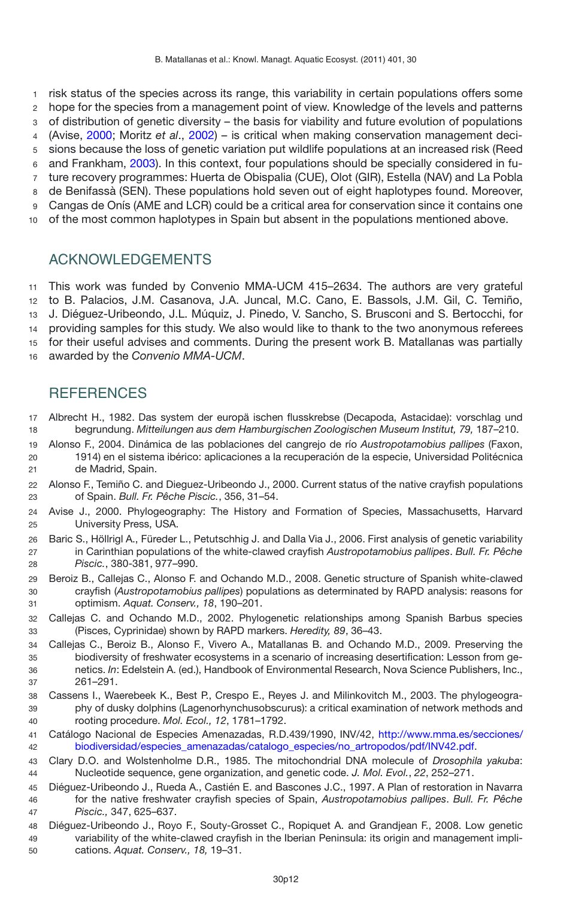risk status of the species across its range, this variability in certain populations offers some

hope for the species from a management point of view. Knowledge of the levels and patterns

of distribution of genetic diversity – the basis for viability and future evolution of populations

(Avise, [2000](#page-11-11); Moritz *et al*., [2002](#page-13-21)) – is critical when making conservation management deci-

sions because the loss of genetic variation put wildlife populations at an increased risk (Reed

and Frankham, [2003\)](#page-13-22). In this context, four populations should be specially considered in fu-

ture recovery programmes: Huerta de Obispalia (CUE), Olot (GIR), Estella (NAV) and La Pobla

 de Benifassà (SEN). These populations hold seven out of eight haplotypes found. Moreover, Cangas de Onís (AME and LCR) could be a critical area for conservation since it contains one

of the most common haplotypes in Spain but absent in the populations mentioned above.

# ACKNOWLEDGEMENTS

 This work was funded by Convenio MMA-UCM 415–2634. The authors are very grateful to B. Palacios, J.M. Casanova, J.A. Juncal, M.C. Cano, E. Bassols, J.M. Gil, C. Temiño, J. Diéguez-Uribeondo, J.L. Múquiz, J. Pinedo, V. Sancho, S. Brusconi and S. Bertocchi, for providing samples for this study. We also would like to thank to the two anonymous referees for their useful advises and comments. During the present work B. Matallanas was partially awarded by the *Convenio MMA-UCM*.

# **REFERENCES**

- <span id="page-11-8"></span> Albrecht H., 1982. Das system der europä ischen flusskrebse (Decapoda, Astacidae): vorschlag und begrundung. *Mitteilungen aus dem Hamburgischen Zoologischen Museum Institut, 79,* 187–210.
- <span id="page-11-2"></span> Alonso F., 2004. Dinámica de las poblaciones del cangrejo de río *Austropotamobius pallipes* (Faxon, 1914) en el sistema ibérico: aplicaciones a la recuperación de la especie, Universidad Politécnica de Madrid, Spain.
- <span id="page-11-1"></span> Alonso F., Temiño C. and Dieguez-Uribeondo J., 2000. Current status of the native crayfish populations of Spain. *Bull. Fr. Pêche Piscic.*, 356, 31–54.
- <span id="page-11-11"></span> Avise J., 2000. Phylogeography: The History and Formation of Species, Massachusetts, Harvard University Press, USA.
- <span id="page-11-7"></span> Baric S., Höllrigl A., Füreder L., Petutschhig J. and Dalla Via J., 2006. First analysis of genetic variability in Carinthian populations of the white-clawed crayfish *Austropotamobius pallipes*. *Bull. Fr. Pêche Piscic.*, 380-381, 977–990.
- <span id="page-11-3"></span> Beroiz B., Callejas C., Alonso F. and Ochando M.D., 2008. Genetic structure of Spanish white-clawed crayfish (*Austropotamobius pallipes*) populations as determinated by RAPD analysis: reasons for optimism. *Aquat. Conserv., 18*, 190–201.
- <span id="page-11-10"></span> Callejas C. and Ochando M.D., 2002. Phylogenetic relationships among Spanish Barbus species (Pisces, Cyprinidae) shown by RAPD markers. *Heredity, 89*, 36–43.
- <span id="page-11-0"></span> Callejas C., Beroiz B., Alonso F., Vivero A., Matallanas B. and Ochando M.D., 2009. Preserving the biodiversity of freshwater ecosystems in a scenario of increasing desertification: Lesson from ge- netics. *In*: Edelstein A. (ed.), Handbook of Environmental Research, Nova Science Publishers, Inc., 261–291.
- <span id="page-11-5"></span> Cassens I., Waerebeek K., Best P., Crespo E., Reyes J. and Milinkovitch M., 2003. The phylogeogra- phy of dusky dolphins (Lagenorhynchusobscurus): a critical examination of network methods and rooting procedure. *Mol. Ecol., 12*, 1781–1792.
- Catálogo Nacional de Especies Amenazadas, R.D.439/1990, INV/42, [http://www.mma.es/secciones/](http://www.mma.es/secciones/biodiversidad/especies_amenazadas/catalogo_especies/no_artropodos/pdf/INV42.pdf) [biodiversidad/especies\\_amenazadas/catalogo\\_especies/no\\_artropodos/pdf/INV42.pdf.](http://www.mma.es/secciones/biodiversidad/especies_amenazadas/catalogo_especies/no_artropodos/pdf/INV42.pdf)
- <span id="page-11-6"></span> Clary D.O. and Wolstenholme D.R., 1985. The mitochondrial DNA molecule of *Drosophila yakuba*: Nucleotide sequence, gene organization, and genetic code. *J. Mol. Evol.*, *22*, 252–271.
- <span id="page-11-9"></span> Diéguez-Uribeondo J., Rueda A., Castién E. and Bascones J.C., 1997. A Plan of restoration in Navarra for the native freshwater crayfish species of Spain, *Austropotamobius pallipes*. *Bull. Fr. Pêche Piscic.,* 347, 625–637.
- <span id="page-11-4"></span> Diéguez-Uribeondo J., Royo F., Souty-Grosset C., Ropiquet A. and Grandjean F., 2008. Low genetic variability of the white-clawed crayfish in the Iberian Peninsula: its origin and management impli-cations. *Aquat. Conserv., 18,* 19–31.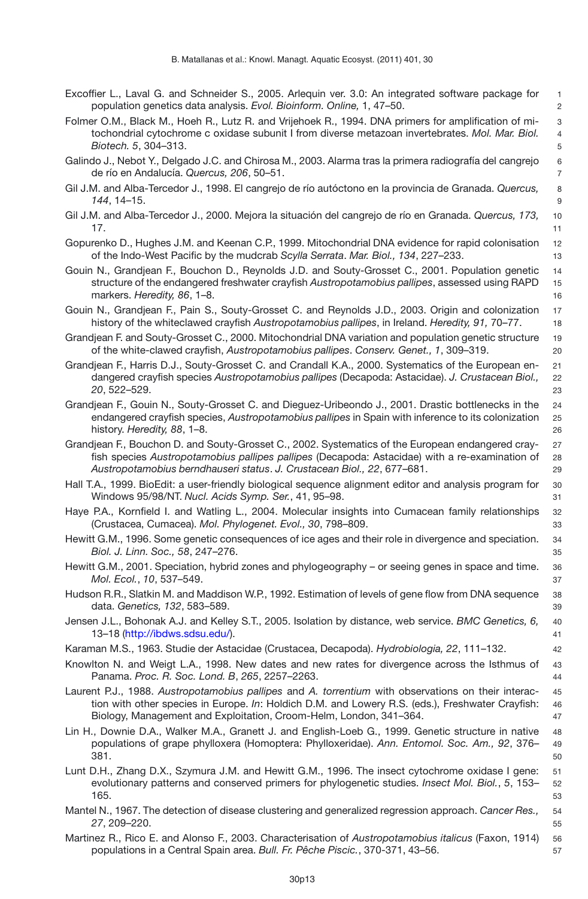- <span id="page-12-10"></span>Excoffier L., Laval G. and Schneider S., 2005. Arlequin ver. 3.0: An integrated software package for 1 population genetics data analysis. *Evol. Bioinform. Online,* 1, 47–50. 2
- <span id="page-12-8"></span>Folmer O.M., Black M., Hoeh R., Lutz R. and Vrijehoek R., 1994. DNA primers for amplification of mi- 3 tochondrial cytochrome c oxidase subunit I from diverse metazoan invertebrates. *Mol. Mar. Biol.* 4 *Biotech. 5***, 304–313.** 5
- <span id="page-12-17"></span>Galindo J., Nebot Y., Delgado J.C. and Chirosa M., 2003. Alarma tras la primera radiografía del cangrejo 6 de río en Andalucía. *Quercus, 206*, 50–51. 7
- <span id="page-12-15"></span>Gil J.M. and Alba-Tercedor J., 1998. El cangrejo de río autóctono en la provincia de Granada. *Quercus,* 8 *144*, 14–15. 9
- <span id="page-12-16"></span>Gil J.M. and Alba-Tercedor J., 2000. Mejora la situación del cangrejo de río en Granada. *Quercus, 173,* 10 **17.**  $\blacksquare$  **11.**  $\blacksquare$  **11.**  $\blacksquare$  **11.**  $\blacksquare$  **11.**  $\blacksquare$  **11.**  $\blacksquare$  **11.**  $\blacksquare$  **11.**  $\blacksquare$  **11.**  $\blacksquare$  **11.**  $\blacksquare$  **11.**  $\blacksquare$  **11.**  $\blacksquare$  **11.**  $\blacksquare$  **11.**  $\blacksquare$  **11.**  $\blacksquare$  **11.**  $\blacksquare$  **11.**  $\blacksquare$
- <span id="page-12-7"></span>Gopurenko D., Hughes J.M. and Keenan C.P., 1999. Mitochondrial DNA evidence for rapid colonisation 12 of the Indo-West Pacific by the mudcrab *Scylla Serrata*. *Mar. Biol., 134*, 227–233. 13
- <span id="page-12-18"></span>Gouin N., Grandjean F., Bouchon D., Reynolds J.D. and Souty-Grosset C., 2001. Population genetic 14 structure of the endangered freshwater crayfish *Austropotamobius pallipes*, assessed using RAPD 15 markers. *Heredity, 86*, 1–8. 16
- <span id="page-12-21"></span>Gouin N., Grandjean F., Pain S., Souty-Grosset C. and Reynolds J.D., 2003. Origin and colonization 17 history of the whiteclawed crayfish *Austropotamobius pallipes*, in Ireland. *Heredity, 91,* 70–77. 18
- <span id="page-12-20"></span>Grandjean F. and Souty-Grosset C., 2000. Mitochondrial DNA variation and population genetic structure 19 of the white-clawed crayfish, *Austropotamobius pallipes*. *Conserv. Genet., 1*, 309–319. 20
- <span id="page-12-1"></span>Grandjean F., Harris D.J., Souty-Grosset C. and Crandall K.A., 2000. Systematics of the European en- 21 dangered crayfish species *Austropotamobius pallipes* (Decapoda: Astacidae). *J. Crustacean Biol.,* 22 *20*, 522–529. 23
- <span id="page-12-3"></span>Grandjean F., Gouin N., Souty-Grosset C. and Dieguez-Uribeondo J., 2001. Drastic bottlenecks in the 24 endangered crayfish species, *Austropotamobius pallipes* in Spain with inference to its colonization 25 history. *Heredity, 88*, 1–8. 26
- <span id="page-12-2"></span>Grandjean F., Bouchon D. and Souty-Grosset C., 2002. Systematics of the European endangered cray- 27 fish species *Austropotamobius pallipes pallipes* (Decapoda: Astacidae) with a re-examination of 28 *Austropotamobius berndhauseri status*. *J. Crustacean Biol., 22*, 677–681. 29
- <span id="page-12-9"></span>Hall T.A., 1999. BioEdit: a user-friendly biological sequence alignment editor and analysis program for 30 Windows 95/98/NT. *Nucl. Acids Symp. Ser.*, 41, 95–98. 31
- <span id="page-12-6"></span>Haye P.A., Kornfield I. and Watling L., 2004. Molecular insights into Cumacean family relationships 32 (Crustacea, Cumacea). *Mol. Phylogenet. Evol., 30*, 798–809. 33
- <span id="page-12-22"></span>Hewitt G.M., 1996. Some genetic consequences of ice ages and their role in divergence and speciation. 34 *Biol. J. Linn. Soc., 58*, 247–276. 35
- <span id="page-12-23"></span>Hewitt G.M., 2001. Speciation, hybrid zones and phylogeography – or seeing genes in space and time. 36 *Mol. Ecol.*, *10*, 537–549. 37
- <span id="page-12-11"></span>Hudson R.R., Slatkin M. and Maddison W.P., 1992. Estimation of levels of gene flow from DNA sequence 38 data. *Genetics, 132*, 583–589. 39
- <span id="page-12-13"></span>Jensen J.L., Bohonak A.J. and Kelley S.T., 2005. Isolation by distance, web service. *BMC Genetics, 6,* 40 13–18 [\(http://ibdws.sdsu.edu/\)](http://ibdws.sdsu.edu/). 41
- <span id="page-12-24"></span>Karaman M.S., 1963. Studie der Astacidae (Crustacea, Decapoda). *Hydrobiologia, 22*, 111–132. 42
- <span id="page-12-4"></span>Knowlton N. and Weigt L.A., 1998. New dates and new rates for divergence across the Isthmus of 43 Panama. *Proc. R. Soc. Lond. B*, *265*, 2257–2263. 44
- <span id="page-12-14"></span>Laurent P.J., 1988. *Austropotamobius pallipes* and *A. torrentium* with observations on their interac- 45 tion with other species in Europe. *In*: Holdich D.M. and Lowery R.S. (eds.), Freshwater Crayfish: 46 Biology, Management and Exploitation, Croom-Helm, London, 341–364. 47
- <span id="page-12-19"></span>Lin H., Downie D.A., Walker M.A., Granett J. and English-Loeb G., 1999. Genetic structure in native 48 populations of grape phylloxera (Homoptera: Phylloxeridae). *Ann. Entomol. Soc. Am., 92*, 376– 49  $381.$
- <span id="page-12-5"></span>Lunt D.H., Zhang D.X., Szymura J.M. and Hewitt G.M., 1996. The insect cytochrome oxidase I gene: 51 evolutionary patterns and conserved primers for phylogenetic studies. *Insect Mol. Biol.*, *5*, 153– 52 **165.**  $\blacksquare$
- <span id="page-12-12"></span>Mantel N., 1967. The detection of disease clustering and generalized regression approach. *Cancer Res.,* 54 *27*, 209–220. 55
- <span id="page-12-0"></span>Martinez R., Rico E. and Alonso F., 2003. Characterisation of *Austropotamobius italicus* (Faxon, 1914) 56 populations in a Central Spain area. *Bull. Fr. Pêche Piscic.*, 370-371, 43–56. 57